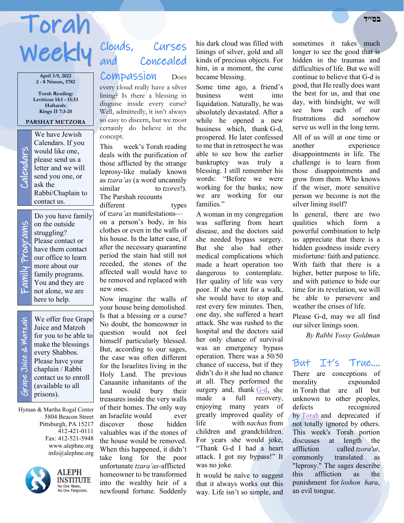# Torah **בס״ד**  Weekly Clouds,

**April 3-9, 2022 2 - 8 Nissan, 5782**

**Torah Reading: Leviticus 14:1 - 15:33 Haftarah: Kings II 7:3-20**

#### **PARSHAT METZORA**

ask the

contact us.

Calendars. If you would like one, please send us a letter and we will send you one, or

Rabbi/Chaplain to

We have Jewish<br>Calendars. If you<br>would like one,<br>please send us a<br>letter and we will<br>send you one, or<br>ask the

Do you have family Family Programs rams on the outside struggling? Please contact or y Prog have them contact our office to learn more about our family programs. You and they are not alone, we are here to help.

 Grape Juice & Matzah We offer free Grape Grape Juice & Watzah Juice and Matzoh for you to be able to make the blessings every Shabbos. Please have your chaplain / Rabbi contact us to enroll (available to all prisons).

Hyman & Martha Rogal Center 5804 Beacon Street Pittsburgh, PA 15217 412-421-0111 Fax: 412-521-5948 www.alephne.org info@alephne.org



**ALEPH INSTITUTE** No One Alone,<br>No One Forgotten.

# Curses and Concealed

## Compassion Does

every cloud really have a silver lining? Is there a blessing in disguise inside every curse? Well, admittedly, it isn't always so easy to discern, but we most certainly do believe in the concept.

This week's Torah reading deals with the purification of those afflicted by the strange leprosy-like malady known as *tzara'as* (a word uncannily similar to *tzores*!). The Parshah recounts different types

of *tzara'as* manifestations on a person's body, in his clothes or even in the walls of his house. In the latter case, if after the necessary quarantine period the stain had still not receded, the stones of the affected wall would have to be removed and replaced with new ones.

Now imagine the walls of your house being demolished. Is that a blessing or a curse? No doubt, the homeowner in question would not feel himself particularly blessed. But, according to our sages, the case was often different for the Israelites living in the Holy Land. The previous Canaanite inhanitants of the land would bury their treasures inside the very walls of their homes. The only way an Israelite would ever discover those hidden valuables was if the stones of the house would be removed. When this happened, it didn't take long for the poor unfortunate *tzara'as*-afflicted homeowner to be transformed into the wealthy heir of a newfound fortune. Suddenly

his dark cloud was filled with linings of silver, gold and all kinds of precious objects. For him, in a moment, the curse became blessing.

Some time ago, a friend's business went into liquidation. Naturally, he was absolutely devastated. After a while he opened a new business which, thank G-d, prospered. He later confessed to me that in retrospect he was able to see how the earlier bankruptcy was truly a blessing. I still remember his words: "Before we were working for the banks; now we are working for our families."

A woman in my congregation was suffering from heart disease, and the doctors said she needed bypass surgery. But she also had other medical complications which made a heart operation too dangerous to contemplate. Her quality of life was very poor. If she went for a walk, she would have to stop and rest every few minutes. Then, one day, she suffered a heart attack. She was rushed to the hospital and the doctors said her only chance of survival was an emergency bypass operation. There was a 50/50 chance of success, but if they didn't do it she had no chance at all. They performed the surgery and, thank [G-d,](https://www.alephne.org/library/article_cdo/aid/433240/jewish/God.htm) she made a full recovery, enjoying many years of greatly improved quality of life with *nachas* from children and grandchildren. For years she would joke, "Thank G-d I had a heart attack. I got my bypass!" It was no joke.

It would be naïve to suggest that it always works out this way. Life isn't so simple, and sometimes it takes much longer to see the good that is hidden in the traumas and difficulties of life. But we will continue to believe that G-d is good, that He really does want the best for us, and that one day, with hindsight, we will see how each of our frustrations did somehow serve us well in the long term. All of us will at one time or another experience disappointments in life. The challenge is to learn from

those disappointments and grow from them. Who knows if the wiser, more sensitive person we become is not the silver lining itself?

In general, there are two qualities which form a powerful combination to help us appreciate that there is a hidden goodness inside every misfortune: faith and patience. With faith that there is a higher, better purpose to life, and with patience to bide our time for its revelation, we will be able to persevere and weather the crises of life.

Please G-d, may we all find our silver linings soon.

*By Rabbi Yossy Goldman*

## But It's True….

There are conceptions of morality expounded in Torah that are all but unknown to other peoples, defects recognized by [Torah](https://www.alephne.org/library/article_cdo/aid/1426382/jewish/Torah.htm) and deprecated if not totally ignored by others. This week's Torah portion discusses at length the affliction called *tzora'at*, commonly translated as "leprosy." The sages describe this affliction as the punishment for *loshon hara*, an evil tongue.